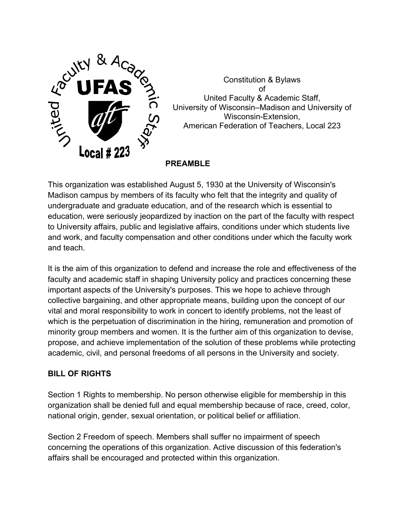

Constitution & Bylaws of United Faculty & Academic Staff, University of Wisconsin–Madison and University of Wisconsin-Extension, American Federation of Teachers, Local 223

**PREAMBLE** 

This organization was established August 5, 1930 at the University of Wisconsin's Madison campus by members of its faculty who felt that the integrity and quality of undergraduate and graduate education, and of the research which is essential to education, were seriously jeopardized by inaction on the part of the faculty with respect to University affairs, public and legislative affairs, conditions under which students live and work, and faculty compensation and other conditions under which the faculty work and teach.

It is the aim of this organization to defend and increase the role and effectiveness of the faculty and academic staff in shaping University policy and practices concerning these important aspects of the University's purposes. This we hope to achieve through collective bargaining, and other appropriate means, building upon the concept of our vital and moral responsibility to work in concert to identify problems, not the least of which is the perpetuation of discrimination in the hiring, remuneration and promotion of minority group members and women. It is the further aim of this organization to devise, propose, and achieve implementation of the solution of these problems while protecting academic, civil, and personal freedoms of all persons in the University and society.

# **BILL OF RIGHTS**

Section 1 Rights to membership. No person otherwise eligible for membership in this organization shall be denied full and equal membership because of race, creed, color, national origin, gender, sexual orientation, or political belief or affiliation.

Section 2 Freedom of speech. Members shall suffer no impairment of speech concerning the operations of this organization. Active discussion of this federation's affairs shall be encouraged and protected within this organization.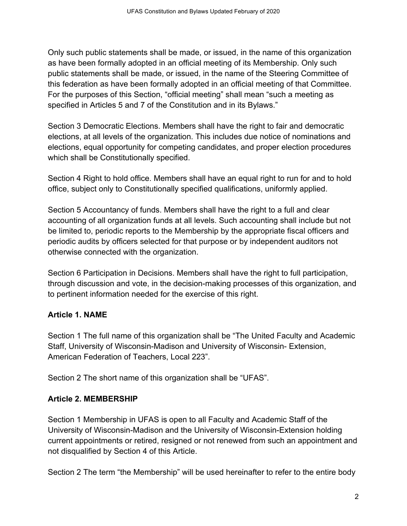Only such public statements shall be made, or issued, in the name of this organization as have been formally adopted in an official meeting of its Membership. Only such public statements shall be made, or issued, in the name of the Steering Committee of this federation as have been formally adopted in an official meeting of that Committee. For the purposes of this Section, "official meeting" shall mean "such a meeting as specified in Articles 5 and 7 of the Constitution and in its Bylaws."

Section 3 Democratic Elections. Members shall have the right to fair and democratic elections, at all levels of the organization. This includes due notice of nominations and elections, equal opportunity for competing candidates, and proper election procedures which shall be Constitutionally specified.

Section 4 Right to hold office. Members shall have an equal right to run for and to hold office, subject only to Constitutionally specified qualifications, uniformly applied.

Section 5 Accountancy of funds. Members shall have the right to a full and clear accounting of all organization funds at all levels. Such accounting shall include but not be limited to, periodic reports to the Membership by the appropriate fiscal officers and periodic audits by officers selected for that purpose or by independent auditors not otherwise connected with the organization.

Section 6 Participation in Decisions. Members shall have the right to full participation, through discussion and vote, in the decision-making processes of this organization, and to pertinent information needed for the exercise of this right.

# **Article 1. NAME**

Section 1 The full name of this organization shall be "The United Faculty and Academic Staff, University of Wisconsin-Madison and University of Wisconsin- Extension, American Federation of Teachers, Local 223".

Section 2 The short name of this organization shall be "UFAS".

# **Article 2. MEMBERSHIP**

Section 1 Membership in UFAS is open to all Faculty and Academic Staff of the University of Wisconsin-Madison and the University of Wisconsin-Extension holding current appointments or retired, resigned or not renewed from such an appointment and not disqualified by Section 4 of this Article.

Section 2 The term "the Membership" will be used hereinafter to refer to the entire body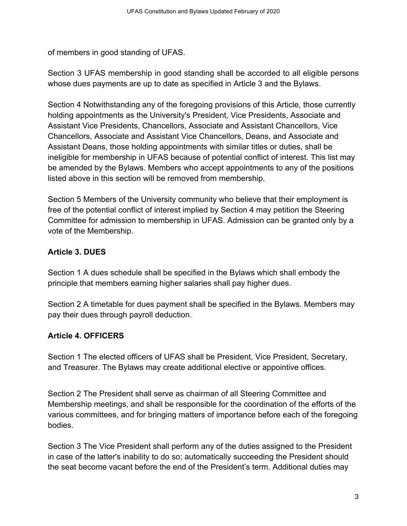of members in good standing of UFAS.

Section 3 UFAS membership in good standing shall be accorded to all eligible persons whose dues payments are up to date as specified in Article 3 and the Bylaws.

Section 4 Notwithstanding any of the foregoing provisions of this Article, those currently holding appointments as the University's President, Vice Presidents, Associate and Assistant Vice Presidents, Chancellors, Associate and Assistant Chancellors, Vice Chancellors, Associate and Assistant Vice Chancellors, Deans, and Associate and Assistant Deans, those holding appointments with similar titles or duties, shall be ineligible for membership in UFAS because of potential conflict of interest. This list may be amended by the Bylaws. Members who accept appointments to any of the positions listed above in this section will be removed from membership.

Section 5 Members of the University community who believe that their employment is free of the potential conflict of interest implied by Section 4 may petition the Steering Committee for admission to membership in UFAS. Admission can be granted only by a vote of the Membership.

# **Article 3. DUES**

Section 1 A dues schedule shall be specified in the Bylaws which shall embody the principle that members earning higher salaries shall pay higher dues.

Section 2 A timetable for dues payment shall be specified in the Bylaws. Members may pay their dues through payroll deduction.

# **Article 4. OFFICERS**

Section 1 The elected officers of UFAS shall be President, Vice President, Secretary, and Treasurer. The Bylaws may create additional elective or appointive offices.

Section 2 The President shall serve as chairman of all Steering Committee and Membership meetings, and shall be responsible for the coordination of the efforts of the various committees, and for bringing matters of importance before each of the foregoing bodies.

Section 3 The Vice President shall perform any of the duties assigned to the President in case of the latter's inability to do so; automatically succeeding the President should the seat become vacant before the end of the President's term. Additional duties may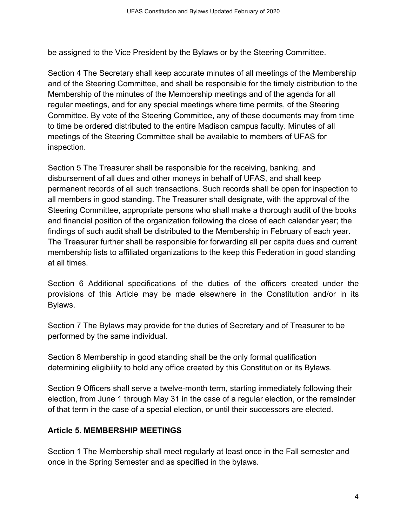be assigned to the Vice President by the Bylaws or by the Steering Committee.

Section 4 The Secretary shall keep accurate minutes of all meetings of the Membership and of the Steering Committee, and shall be responsible for the timely distribution to the Membership of the minutes of the Membership meetings and of the agenda for all regular meetings, and for any special meetings where time permits, of the Steering Committee. By vote of the Steering Committee, any of these documents may from time to time be ordered distributed to the entire Madison campus faculty. Minutes of all meetings of the Steering Committee shall be available to members of UFAS for inspection.

Section 5 The Treasurer shall be responsible for the receiving, banking, and disbursement of all dues and other moneys in behalf of UFAS, and shall keep permanent records of all such transactions. Such records shall be open for inspection to all members in good standing. The Treasurer shall designate, with the approval of the Steering Committee, appropriate persons who shall make a thorough audit of the books and financial position of the organization following the close of each calendar year; the findings of such audit shall be distributed to the Membership in February of each year. The Treasurer further shall be responsible for forwarding all per capita dues and current membership lists to affiliated organizations to the keep this Federation in good standing at all times.

Section 6 Additional specifications of the duties of the officers created under the provisions of this Article may be made elsewhere in the Constitution and/or in its Bylaws.

Section 7 The Bylaws may provide for the duties of Secretary and of Treasurer to be performed by the same individual.

Section 8 Membership in good standing shall be the only formal qualification determining eligibility to hold any office created by this Constitution or its Bylaws.

Section 9 Officers shall serve a twelve-month term, starting immediately following their election, from June 1 through May 31 in the case of a regular election, or the remainder of that term in the case of a special election, or until their successors are elected.

#### **Article 5. MEMBERSHIP MEETINGS**

Section 1 The Membership shall meet regularly at least once in the Fall semester and once in the Spring Semester and as specified in the bylaws.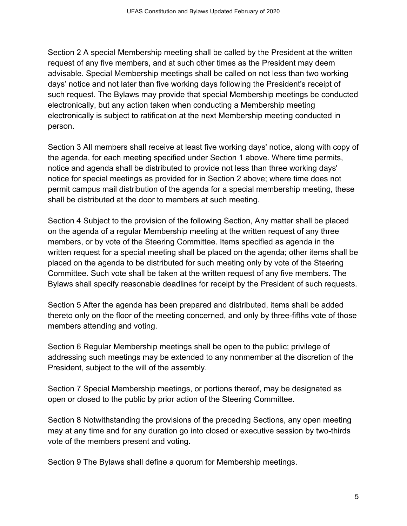Section 2 A special Membership meeting shall be called by the President at the written request of any five members, and at such other times as the President may deem advisable. Special Membership meetings shall be called on not less than two working days' notice and not later than five working days following the President's receipt of such request. The Bylaws may provide that special Membership meetings be conducted electronically, but any action taken when conducting a Membership meeting electronically is subject to ratification at the next Membership meeting conducted in person.

Section 3 All members shall receive at least five working days' notice, along with copy of the agenda, for each meeting specified under Section 1 above. Where time permits, notice and agenda shall be distributed to provide not less than three working days' notice for special meetings as provided for in Section 2 above; where time does not permit campus mail distribution of the agenda for a special membership meeting, these shall be distributed at the door to members at such meeting.

Section 4 Subject to the provision of the following Section, Any matter shall be placed on the agenda of a regular Membership meeting at the written request of any three members, or by vote of the Steering Committee. Items specified as agenda in the written request for a special meeting shall be placed on the agenda; other items shall be placed on the agenda to be distributed for such meeting only by vote of the Steering Committee. Such vote shall be taken at the written request of any five members. The Bylaws shall specify reasonable deadlines for receipt by the President of such requests.

Section 5 After the agenda has been prepared and distributed, items shall be added thereto only on the floor of the meeting concerned, and only by three-fifths vote of those members attending and voting.

Section 6 Regular Membership meetings shall be open to the public; privilege of addressing such meetings may be extended to any nonmember at the discretion of the President, subject to the will of the assembly.

Section 7 Special Membership meetings, or portions thereof, may be designated as open or closed to the public by prior action of the Steering Committee.

Section 8 Notwithstanding the provisions of the preceding Sections, any open meeting may at any time and for any duration go into closed or executive session by two-thirds vote of the members present and voting.

Section 9 The Bylaws shall define a quorum for Membership meetings.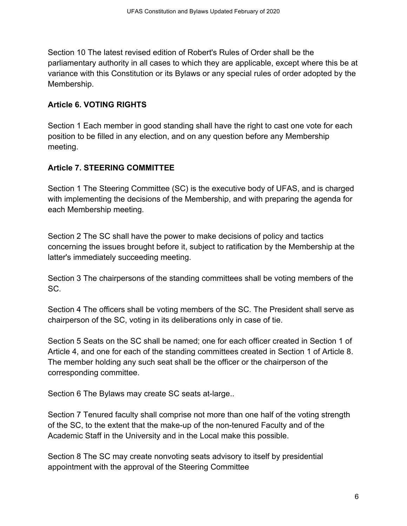Section 10 The latest revised edition of Robert's Rules of Order shall be the parliamentary authority in all cases to which they are applicable, except where this be at variance with this Constitution or its Bylaws or any special rules of order adopted by the Membership.

#### **Article 6. VOTING RIGHTS**

Section 1 Each member in good standing shall have the right to cast one vote for each position to be filled in any election, and on any question before any Membership meeting.

# **Article 7. STEERING COMMITTEE**

Section 1 The Steering Committee (SC) is the executive body of UFAS, and is charged with implementing the decisions of the Membership, and with preparing the agenda for each Membership meeting.

Section 2 The SC shall have the power to make decisions of policy and tactics concerning the issues brought before it, subject to ratification by the Membership at the latter's immediately succeeding meeting.

Section 3 The chairpersons of the standing committees shall be voting members of the SC.

Section 4 The officers shall be voting members of the SC. The President shall serve as chairperson of the SC, voting in its deliberations only in case of tie.

Section 5 Seats on the SC shall be named; one for each officer created in Section 1 of Article 4, and one for each of the standing committees created in Section 1 of Article 8. The member holding any such seat shall be the officer or the chairperson of the corresponding committee.

Section 6 The Bylaws may create SC seats at-large..

Section 7 Tenured faculty shall comprise not more than one half of the voting strength of the SC, to the extent that the make-up of the non-tenured Faculty and of the Academic Staff in the University and in the Local make this possible.

Section 8 The SC may create nonvoting seats advisory to itself by presidential appointment with the approval of the Steering Committee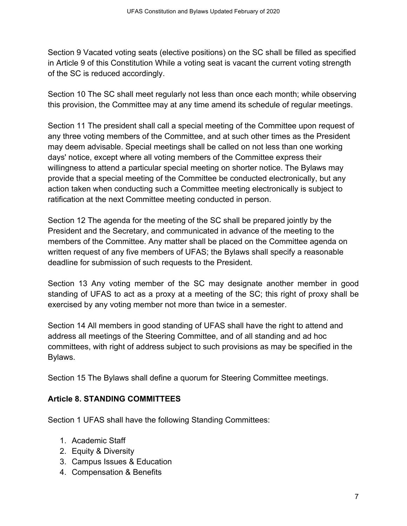Section 9 Vacated voting seats (elective positions) on the SC shall be filled as specified in Article 9 of this Constitution While a voting seat is vacant the current voting strength of the SC is reduced accordingly.

Section 10 The SC shall meet regularly not less than once each month; while observing this provision, the Committee may at any time amend its schedule of regular meetings.

Section 11 The president shall call a special meeting of the Committee upon request of any three voting members of the Committee, and at such other times as the President may deem advisable. Special meetings shall be called on not less than one working days' notice, except where all voting members of the Committee express their willingness to attend a particular special meeting on shorter notice. The Bylaws may provide that a special meeting of the Committee be conducted electronically, but any action taken when conducting such a Committee meeting electronically is subject to ratification at the next Committee meeting conducted in person.

Section 12 The agenda for the meeting of the SC shall be prepared jointly by the President and the Secretary, and communicated in advance of the meeting to the members of the Committee. Any matter shall be placed on the Committee agenda on written request of any five members of UFAS; the Bylaws shall specify a reasonable deadline for submission of such requests to the President.

Section 13 Any voting member of the SC may designate another member in good standing of UFAS to act as a proxy at a meeting of the SC; this right of proxy shall be exercised by any voting member not more than twice in a semester.

Section 14 All members in good standing of UFAS shall have the right to attend and address all meetings of the Steering Committee, and of all standing and ad hoc committees, with right of address subject to such provisions as may be specified in the Bylaws.

Section 15 The Bylaws shall define a quorum for Steering Committee meetings.

# **Article 8. STANDING COMMITTEES**

Section 1 UFAS shall have the following Standing Committees:

- 1. Academic Staff
- 2. Equity & Diversity
- 3. Campus Issues & Education
- 4. Compensation & Benefits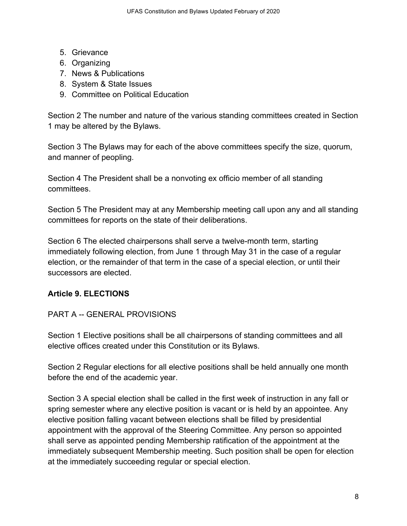- 5. Grievance
- 6. Organizing
- 7. News & Publications
- 8. System & State Issues
- 9. Committee on Political Education

Section 2 The number and nature of the various standing committees created in Section 1 may be altered by the Bylaws.

Section 3 The Bylaws may for each of the above committees specify the size, quorum, and manner of peopling.

Section 4 The President shall be a nonvoting ex officio member of all standing committees.

Section 5 The President may at any Membership meeting call upon any and all standing committees for reports on the state of their deliberations.

Section 6 The elected chairpersons shall serve a twelve-month term, starting immediately following election, from June 1 through May 31 in the case of a regular election, or the remainder of that term in the case of a special election, or until their successors are elected.

# **Article 9. ELECTIONS**

# PART A -- GENERAL PROVISIONS

Section 1 Elective positions shall be all chairpersons of standing committees and all elective offices created under this Constitution or its Bylaws.

Section 2 Regular elections for all elective positions shall be held annually one month before the end of the academic year.

Section 3 A special election shall be called in the first week of instruction in any fall or spring semester where any elective position is vacant or is held by an appointee. Any elective position falling vacant between elections shall be filled by presidential appointment with the approval of the Steering Committee. Any person so appointed shall serve as appointed pending Membership ratification of the appointment at the immediately subsequent Membership meeting. Such position shall be open for election at the immediately succeeding regular or special election.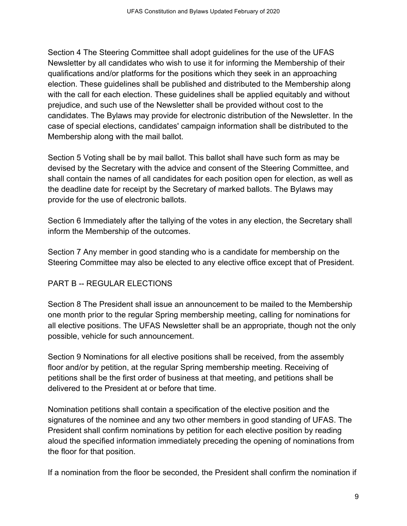Section 4 The Steering Committee shall adopt guidelines for the use of the UFAS Newsletter by all candidates who wish to use it for informing the Membership of their qualifications and/or platforms for the positions which they seek in an approaching election. These guidelines shall be published and distributed to the Membership along with the call for each election. These guidelines shall be applied equitably and without prejudice, and such use of the Newsletter shall be provided without cost to the candidates. The Bylaws may provide for electronic distribution of the Newsletter. In the case of special elections, candidates' campaign information shall be distributed to the Membership along with the mail ballot.

Section 5 Voting shall be by mail ballot. This ballot shall have such form as may be devised by the Secretary with the advice and consent of the Steering Committee, and shall contain the names of all candidates for each position open for election, as well as the deadline date for receipt by the Secretary of marked ballots. The Bylaws may provide for the use of electronic ballots.

Section 6 Immediately after the tallying of the votes in any election, the Secretary shall inform the Membership of the outcomes.

Section 7 Any member in good standing who is a candidate for membership on the Steering Committee may also be elected to any elective office except that of President.

#### PART B -- REGULAR ELECTIONS

Section 8 The President shall issue an announcement to be mailed to the Membership one month prior to the regular Spring membership meeting, calling for nominations for all elective positions. The UFAS Newsletter shall be an appropriate, though not the only possible, vehicle for such announcement.

Section 9 Nominations for all elective positions shall be received, from the assembly floor and/or by petition, at the regular Spring membership meeting. Receiving of petitions shall be the first order of business at that meeting, and petitions shall be delivered to the President at or before that time.

Nomination petitions shall contain a specification of the elective position and the signatures of the nominee and any two other members in good standing of UFAS. The President shall confirm nominations by petition for each elective position by reading aloud the specified information immediately preceding the opening of nominations from the floor for that position.

If a nomination from the floor be seconded, the President shall confirm the nomination if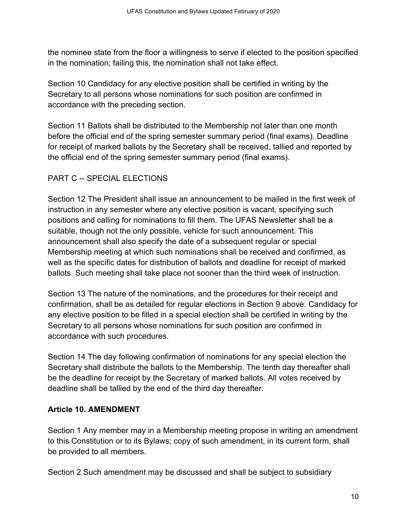the nominee state from the floor a willingness to serve if elected to the position specified in the nomination; failing this, the nomination shall not take effect.

Section 10 Candidacy for any elective position shall be certified in writing by the Secretary to all persons whose nominations for such position are confirmed in accordance with the preceding section.

Section 11 Ballots shall be distributed to the Membership not later than one month before the official end of the spring semester summary period (final exams). Deadline for receipt of marked ballots by the Secretary shall be received, tallied and reported by the official end of the spring semester summary period (final exams).

# PART C -- SPECIAL ELECTIONS

Section 12 The President shall issue an announcement to be mailed in the first week of instruction in any semester where any elective position is vacant, specifying such positions and calling for nominations to fill them. The UFAS Newsletter shall be a suitable, though not the only possible, vehicle for such announcement. This announcement shall also specify the date of a subsequent regular or special Membership meeting at which such nominations shall be received and confirmed, as well as the specific dates for distribution of ballots and deadline for receipt of marked ballots. Such meeting shall take place not sooner than the third week of instruction.

Section 13 The nature of the nominations, and the procedures for their receipt and confirmation, shall be as detailed for regular elections in Section 9 above. Candidacy for any elective position to be filled in a special election shall be certified in writing by the Secretary to all persons whose nominations for such position are confirmed in accordance with such procedures.

Section 14 The day following confirmation of nominations for any special election the Secretary shall distribute the ballots to the Membership. The tenth day thereafter shall be the deadline for receipt by the Secretary of marked ballots. All votes received by deadline shall be tallied by the end of the third day thereafter.

#### **Article 10. AMENDMENT**

Section 1 Any member may in a Membership meeting propose in writing an amendment to this Constitution or to its Bylaws; copy of such amendment, in its current form, shall be provided to all members.

Section 2 Such amendment may be discussed and shall be subject to subsidiary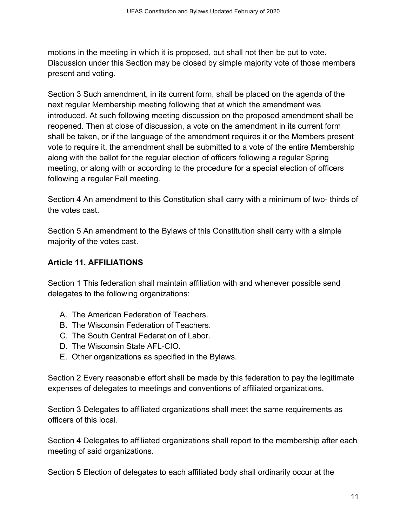motions in the meeting in which it is proposed, but shall not then be put to vote. Discussion under this Section may be closed by simple majority vote of those members present and voting.

Section 3 Such amendment, in its current form, shall be placed on the agenda of the next regular Membership meeting following that at which the amendment was introduced. At such following meeting discussion on the proposed amendment shall be reopened. Then at close of discussion, a vote on the amendment in its current form shall be taken, or if the language of the amendment requires it or the Members present vote to require it, the amendment shall be submitted to a vote of the entire Membership along with the ballot for the regular election of officers following a regular Spring meeting, or along with or according to the procedure for a special election of officers following a regular Fall meeting.

Section 4 An amendment to this Constitution shall carry with a minimum of two- thirds of the votes cast.

Section 5 An amendment to the Bylaws of this Constitution shall carry with a simple majority of the votes cast.

## **Article 11. AFFILIATIONS**

Section 1 This federation shall maintain affiliation with and whenever possible send delegates to the following organizations:

- A. The American Federation of Teachers.
- B. The Wisconsin Federation of Teachers.
- C. The South Central Federation of Labor.
- D. The Wisconsin State AFL-CIO.
- E. Other organizations as specified in the Bylaws.

Section 2 Every reasonable effort shall be made by this federation to pay the legitimate expenses of delegates to meetings and conventions of affiliated organizations.

Section 3 Delegates to affiliated organizations shall meet the same requirements as officers of this local.

Section 4 Delegates to affiliated organizations shall report to the membership after each meeting of said organizations.

Section 5 Election of delegates to each affiliated body shall ordinarily occur at the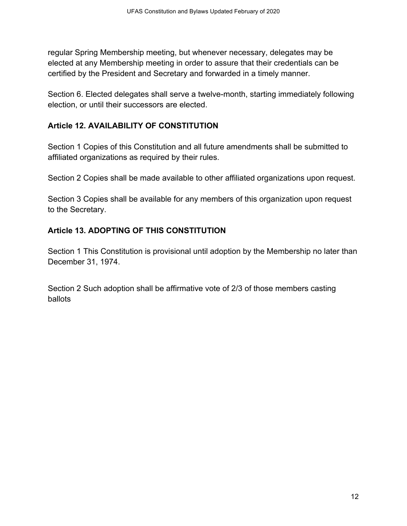regular Spring Membership meeting, but whenever necessary, delegates may be elected at any Membership meeting in order to assure that their credentials can be certified by the President and Secretary and forwarded in a timely manner.

Section 6. Elected delegates shall serve a twelve-month, starting immediately following election, or until their successors are elected.

## **Article 12. AVAILABILITY OF CONSTITUTION**

Section 1 Copies of this Constitution and all future amendments shall be submitted to affiliated organizations as required by their rules.

Section 2 Copies shall be made available to other affiliated organizations upon request.

Section 3 Copies shall be available for any members of this organization upon request to the Secretary.

## **Article 13. ADOPTING OF THIS CONSTITUTION**

Section 1 This Constitution is provisional until adoption by the Membership no later than December 31, 1974.

Section 2 Such adoption shall be affirmative vote of 2/3 of those members casting ballots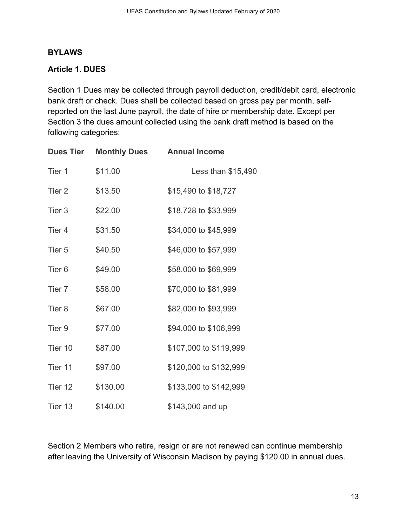#### **BYLAWS**

#### **Article 1. DUES**

Section 1 Dues may be collected through payroll deduction, credit/debit card, electronic bank draft or check. Dues shall be collected based on gross pay per month, selfreported on the last June payroll, the date of hire or membership date. Except per Section 3 the dues amount collected using the bank draft method is based on the following categories:

| <b>Dues Tier</b>  | <b>Monthly Dues</b> | <b>Annual Income</b>   |
|-------------------|---------------------|------------------------|
| Tier 1            | \$11.00             | Less than \$15,490     |
| Tier 2            | \$13.50             | \$15,490 to \$18,727   |
| Tier 3            | \$22.00             | \$18,728 to \$33,999   |
| Tier <sub>4</sub> | \$31.50             | \$34,000 to \$45,999   |
| Tier 5            | \$40.50             | \$46,000 to \$57,999   |
| Tier <sub>6</sub> | \$49.00             | \$58,000 to \$69,999   |
| Tier 7            | \$58.00             | \$70,000 to \$81,999   |
| Tier <sub>8</sub> | \$67.00             | \$82,000 to \$93,999   |
| Tier <sub>9</sub> | \$77.00             | \$94,000 to \$106,999  |
| Tier 10           | \$87.00             | \$107,000 to \$119,999 |
| Tier 11           | \$97.00             | \$120,000 to \$132,999 |
| Tier 12           | \$130.00            | \$133,000 to \$142,999 |
| Tier 13           | \$140.00            | \$143,000 and up       |

Section 2 Members who retire, resign or are not renewed can continue membership after leaving the University of Wisconsin Madison by paying \$120.00 in annual dues.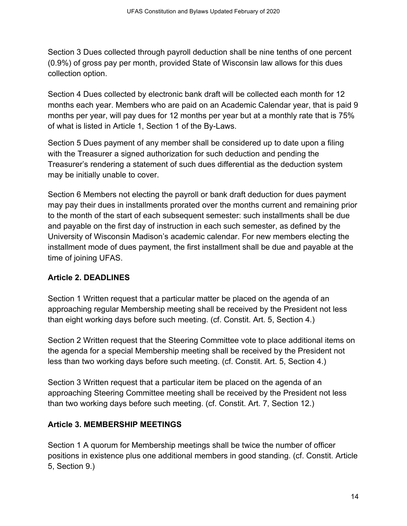Section 3 Dues collected through payroll deduction shall be nine tenths of one percent (0.9%) of gross pay per month, provided State of Wisconsin law allows for this dues collection option.

Section 4 Dues collected by electronic bank draft will be collected each month for 12 months each year. Members who are paid on an Academic Calendar year, that is paid 9 months per year, will pay dues for 12 months per year but at a monthly rate that is 75% of what is listed in Article 1, Section 1 of the By-Laws.

Section 5 Dues payment of any member shall be considered up to date upon a filing with the Treasurer a signed authorization for such deduction and pending the Treasurer's rendering a statement of such dues differential as the deduction system may be initially unable to cover.

Section 6 Members not electing the payroll or bank draft deduction for dues payment may pay their dues in installments prorated over the months current and remaining prior to the month of the start of each subsequent semester: such installments shall be due and payable on the first day of instruction in each such semester, as defined by the University of Wisconsin Madison's academic calendar. For new members electing the installment mode of dues payment, the first installment shall be due and payable at the time of joining UFAS.

# **Article 2. DEADLINES**

Section 1 Written request that a particular matter be placed on the agenda of an approaching regular Membership meeting shall be received by the President not less than eight working days before such meeting. (cf. Constit. Art. 5, Section 4.)

Section 2 Written request that the Steering Committee vote to place additional items on the agenda for a special Membership meeting shall be received by the President not less than two working days before such meeting. (cf. Constit. Art. 5, Section 4.)

Section 3 Written request that a particular item be placed on the agenda of an approaching Steering Committee meeting shall be received by the President not less than two working days before such meeting. (cf. Constit. Art. 7, Section 12.)

# **Article 3. MEMBERSHIP MEETINGS**

Section 1 A quorum for Membership meetings shall be twice the number of officer positions in existence plus one additional members in good standing. (cf. Constit. Article 5, Section 9.)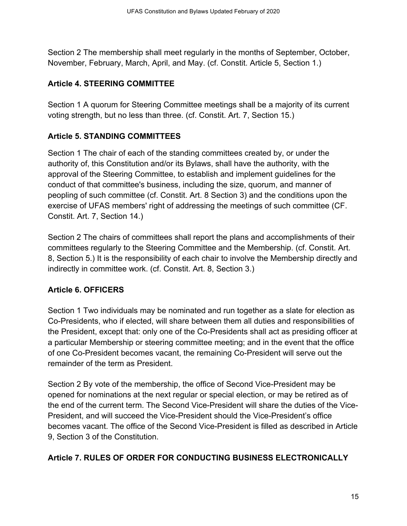Section 2 The membership shall meet regularly in the months of September, October, November, February, March, April, and May. (cf. Constit. Article 5, Section 1.)

## **Article 4. STEERING COMMITTEE**

Section 1 A quorum for Steering Committee meetings shall be a majority of its current voting strength, but no less than three. (cf. Constit. Art. 7, Section 15.)

## **Article 5. STANDING COMMITTEES**

Section 1 The chair of each of the standing committees created by, or under the authority of, this Constitution and/or its Bylaws, shall have the authority, with the approval of the Steering Committee, to establish and implement guidelines for the conduct of that committee's business, including the size, quorum, and manner of peopling of such committee (cf. Constit. Art. 8 Section 3) and the conditions upon the exercise of UFAS members' right of addressing the meetings of such committee (CF. Constit. Art. 7, Section 14.)

Section 2 The chairs of committees shall report the plans and accomplishments of their committees regularly to the Steering Committee and the Membership. (cf. Constit. Art. 8, Section 5.) It is the responsibility of each chair to involve the Membership directly and indirectly in committee work. (cf. Constit. Art. 8, Section 3.)

# **Article 6. OFFICERS**

Section 1 Two individuals may be nominated and run together as a slate for election as Co-Presidents, who if elected, will share between them all duties and responsibilities of the President, except that: only one of the Co-Presidents shall act as presiding officer at a particular Membership or steering committee meeting; and in the event that the office of one Co-President becomes vacant, the remaining Co-President will serve out the remainder of the term as President.

Section 2 By vote of the membership, the office of Second Vice-President may be opened for nominations at the next regular or special election, or may be retired as of the end of the current term. The Second Vice-President will share the duties of the Vice-President, and will succeed the Vice-President should the Vice-President's office becomes vacant. The office of the Second Vice-President is filled as described in Article 9, Section 3 of the Constitution.

# **Article 7. RULES OF ORDER FOR CONDUCTING BUSINESS ELECTRONICALLY**